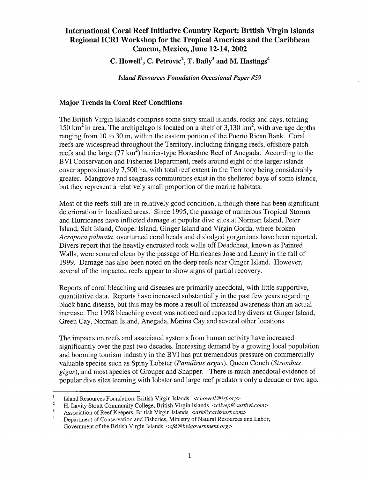# International Coral Reef Initiative Country Report: British Virgin Islands Regional ICRI Workshop for the Tropical Americas and the Caribbean Cancun, Mexico, June 12-14, 2002

C. Howell<sup>1</sup>, C. Petrovic<sup>2</sup>, T. Baily<sup>3</sup> and M. Hastings<sup>4</sup>

*Island Resources Foundation Occasional Paper #59* 

## Major Trends in Coral Reef Conditions

The British Virgin Islands comprise some sixty small islands, rocks and cays, totaling 150 km<sup>2</sup> in area. The archipelago is located on a shelf of 3,130 km<sup>2</sup>, with average depths ranging from 10 to 30 m, within the eastern portion of the Puerto Rican Bank. Coral reefs are widespread throughout the Territory, including fringing reefs, offshore patch reefs and the large (77  $km^2$ ) barrier-type Horseshoe Reef of Anegada. According to the BVI Conservation and Fisheries Department, reefs around eight of the larger islands cover approximately 7,500 ha, with total reef extent in the Territory being considerably greater. Mangrove and seagrass communities exist in the sheltered bays of some islands, but they represent a relatively small proportion of the marine habitats.

Most of the reefs still are in relatively good condition, although there has been significant deterioration in localized areas. Since 1995, the passage of numerous Tropical Storms and Hurricanes have inflicted damage at popular dive sites at Norman Island, Peter Island, Salt Island, Cooper Island, Ginger Island and Virgin Gorda, where broken *Acropora palmata,* overturned coral heads and dislodged gorgonians have been reported. Divers report that the heavily encrusted rock walls off Deadchest, known as Painted Walls, were scoured clean by the passage of Hurricanes Jose and Lenny in the fall of 1999. Damage has also been noted on the deep reefs near Ginger Island. However, several of the impacted reefs appear to show signs of partial recovery.

Reports of coral bleaching and diseases are primarily anecdotal, with little supportive, quantitative data. Reports have increased substantially in the past few years regarding black band disease, but this may be more a result of increased awareness than an actual increase. The 1998 bleaching event was noticed and reported by divers at Ginger Island, Green Cay, Norman Island, Anegada, Marina Cay and several other locations.

The impacts on reefs and associated systems from human activity have increased significantly over the past two decades. Increasing demand by a growing local population and booming tourism industry in the BVI has put tremendous pressure on commercially valuable species such as Spiny Lobster *(Panulirus argus),* Queen Conch *(Strombus gigas),* and most species of Grouper and Snapper. There is much anecdotal evidence of popular dive sites teeming with lobster and large reef predators only a decade or two ago.

Island Resources Foundation, British Virgin Islands <chowell@irf.org>

<sup>2</sup>  H. Lavity Stoutt Community College, British Virgin Islands *<clivep@surjbvi.com>* 

<sup>3</sup>  Association of Reef Keepers, British Virgin Islands *<ark@caribsurfcom>* 

<sup>4</sup>  Department of Conservation and Fisheries, Ministry of Natural Resources and Labor, Government of the British Virgin Islands *<cjd@bvigovernment.org>*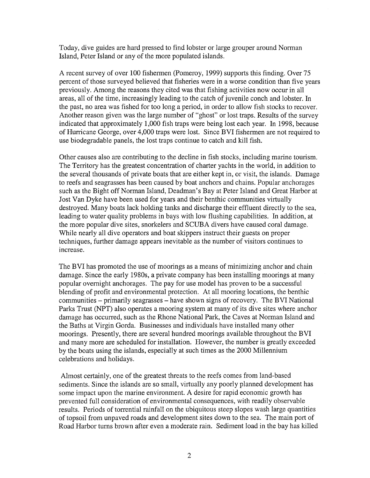Today, dive guides are hard pressed to find lobster or large grouper around Norman Island, Peter Island or any of the more populated islands.

A recent survey of over 100 fishermen (Pomeroy, 1999) supports this finding. Over 75 percent of those surveyed believed that fisheries were in a worse condition than five years previously. Among the reasons they cited was that fishing activities now occur in all areas, all of the time, increasingly leading to the catch of juvenile conch and lobster. In the past, no area was fished for too long a period, in order to allow fish stocks to recover. Another reason given was the large number of "ghost" or lost traps. Results of the survey indicated that approximately 1,000 fish traps were being lost each year. In 1998, because of Hurricane George, over 4,000 traps were lost. Since BVI fishermen are not required to use biodegradable panels, the lost traps continue to catch and kill fish.

Other causes also are contributing to the decline in fish stocks, including marine tourism. The Territory has the greatest concentration of charter yachts in the world, in addition to the several thousands of private boats that are either kept in, or visit, the islands. Damage to reefs and seagrasses has been caused by boat anchors and chains. Popular anchorages such as the Bight off Norman Island, Deadman's Bay at Peter Island and Great Harbor at Jost Van Dyke have been used for years and their benthic communities virtually destroyed. Many boats lack holding tanks and discharge their effluent directly to the sea, leading to water quality problems in bays with low flushing capabilities. In addition, at the more popular dive sites, snorkelers and SCUBA divers have caused coral damage. While nearly all dive operators and boat skippers instruct their guests on proper techniques, further damage appears inevitable as the number of visitors continues to increase.

The BVI has promoted the use of moorings as a means of minimizing anchor and chain damage. Since the early 1980s, a private company has been installing moorings at many popular overnight anchorages. The pay for use model has proven to be a successful blending of profit and environmental protection. At all mooring locations, the benthic communities – primarily seagrasses – have shown signs of recovery. The BVI National Parks Trust (NPT) also operates a mooring system at many of its dive sites where anchor damage has occurred, such as the Rhone National Park, the Caves at Norman Island and the Baths at Virgin Gorda. Businesses and individuals have installed many other moorings. Presently, there are several hundred moorings available throughout the BVI and many more are scheduled for installation. However, the number is greatly exceeded by the boats using the islands, especially at such times as the 2000 Millennium celebrations and holidays.

Almost certainly, one of the greatest threats to the reefs comes from land-based sediments. Since the islands are so small, virtually any poorly planned development has some impact upon the marine environment. A desire for rapid economic growth has prevented full consideration of environmental consequences, with readily observable results. Periods of torrential rainfall on the ubiquitous steep slopes wash large quantities of topsoil from unpaved roads and development sites down to the sea. The main port of Road Harbor turns brown after even a moderate rain. Sediment load in the bay has killed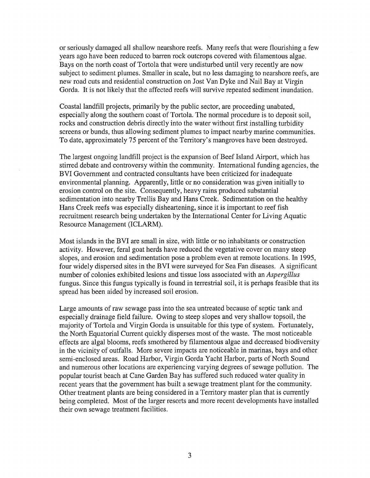or seriously damaged all shallow nearshore reefs. Many reefs that were flourishing a few years ago have been reduced to barren rock outcrops covered with filamentous algae. Bays on the north coast of Tortola that were undisturbed until very recently are now subject to sediment plumes. Smaller in scale, but no less damaging to nearshore reefs, are new road cuts and residential construction on Jost Van Dyke and Nail Bay at Virgin Gorda. It is not likely that the affected reefs will survive repeated sediment inundation.

Coastal landfill projects, primarily by the public sector, are proceeding unabated, especially along the southern coast of Tortola. The normal procedure is to deposit soil, rocks and construction debris directly into the water without first installing turbidity screens or bunds, thus allowing sediment plumes to impact nearby marine communities. To date, approximately 75 percent of the Territory's mangroves have been destroyed.

The largest ongoing landfill project is the expansion of Beef Island Airport, which has stirred debate and controversy within the community. International funding agencies, the BVI Government and contracted consultants have been criticized for inadequate environmental planning. Apparently, little or no consideration was given initially to erosion control on the site. Consequently, heavy rains produced substantial sedimentation into nearby Trellis Bay and Hans Creek. Sedimentation on the healthy Hans Creek reefs was especially disheartening, since it is important to reef fish recruitment research being undertaken by the International Center for Living Aquatic Resource Management (ICLARM).

Most islands in the BVI are small in size, with little or no inhabitants or construction activity. However, feral goat herds have reduced the vegetative cover on many steep slopes, and erosion and sedimentation pose a problem even at remote locations. In 1995, four widely dispersed sites in the BVI were surveyed for Sea Fan diseases. A significant number of colonies exhibited lesions and tissue loss associated with an *Aspergillus*  fungus. Since this fungus typically is found in terrestrial soil, it is perhaps feasible that its spread has been aided by increased soil erosion.

Large amounts of raw sewage pass into the sea untreated because of septic tank and especially drainage field failure. Owing to steep slopes and very shallow topsoil, the majority of Tortola and Virgin Gorda is unsuitable for this type of system. Fortunately, the North Equatorial Current quickly disperses most of the waste. The most noticeable effects are algal blooms, reefs smothered by filamentous algae and decreased biodiversity in the vicinity of outfalls. More severe impacts are noticeable in marinas, bays and other semi-enclosed areas. Road Harbor, Virgin Gorda Yacht Harbor, parts of North Sound and numerous other locations are experiencing varying degrees of sewage pollution. The popular tourist beach at Cane Garden Bay has suffered such reduced water quality in recent years that the government has built a sewage treatment plant for the community. Other treatment plants are being considered in a Territory master plan that is currently being completed. Most of the larger resorts and more recent developments have installed their own sewage treatment facilities.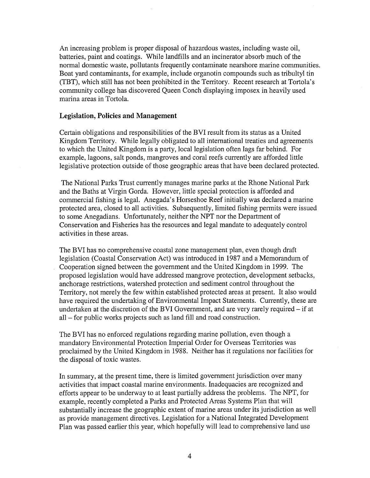An increasing problem is proper disposal of hazardous wastes, including waste oil, batteries, paint and coatings. While landfills and an incinerator absorb much of the normal domestic waste, pollutants frequently contaminate nearshore marine communities. Boat yard contaminants, for example, include organotin compounds such as tribultyl tin (TBT), which still has not been prohibited in the Territory. Recent research at Tortola's community college has discovered Queen Conch displaying imposex in heavily used marina areas in Tortola.

#### **Legislation, Policies and Management**

Certain obligations and responsibilities of the BVI result from its status as a United Kingdom Territory. While legally obligated to all international treaties and agreements to which the United Kingdom is a party, local legislation often lags far behind. For example, lagoons, salt ponds, mangroves and coral reefs currently are afforded little legislative protection outside of those geographic areas that have been declared protected.

The National Parks Trust currently manages marine parks at the Rhone National Park and the Baths at Virgin Gorda. However, little special protection is afforded and commercial fishing is legal. Anegada's Horseshoe Reef initially was declared a marine protected area, closed to all activities. Subsequently, limited fishing permits were issued to some Anegadians. Unfortunately, neither the NPT nor the Department of Conservation and Fisheries has the resources and legal mandate to adequately control activities in these areas.

The BVI has no comprehensive coastal zone management plan, even though draft legislation (Coastal Conservation Act) was introduced in 1987 and a Memorandum of Cooperation signed between the government and the United Kingdom in 1999. The proposed legislation would have addressed mangrove protection, development setbacks, anchorage restrictions, watershed protection and sediment control throughout the Territory, not merely the few within established protected areas at present. It also would have required the undertaking of Environmental Impact Statements. Currently, these are undertaken at the discretion of the BVI Government, and are very rarely required – if at all - for public works projects such as land fill and road construction.

The BVI has no enforced regulations regarding marine pollution, even though a mandatory Environmental Protection Imperial Order for Overseas Territories was proclaimed by the United Kingdom in 1988. Neither has it regulations nor facilities for the disposal of toxic wastes.

In summary, at the present time, there is limited government jurisdiction over many activities that impact coastal marine environments. Inadequacies are recognized and efforts appear to be underway to at least partially address the problems. The NPT, for example, recently completed a Parks and Protected Areas Systems Plan that will substantially increase the geographic extent of marine areas under its jurisdiction as well as provide management directives. Legislation for a National Integrated Development Plan was passed earlier this year, which hopefully will lead to comprehensive land use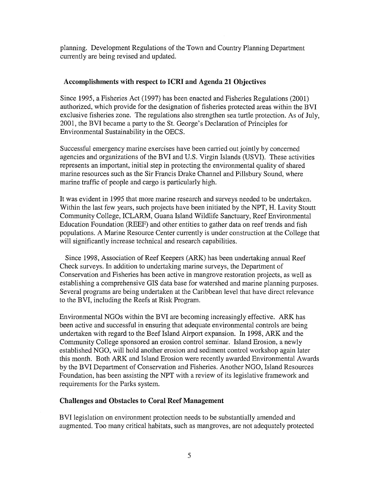planning. Development Regulations of the Town and Country Planning Department currently are being revised and updated.

# **Accomplishments with respect to ICRI and Agenda 21 Objectives**

Since 1995, a Fisheries Act (1997) has been enacted and Fisheries Regulations (2001) authorized, which provide for the designation of fisheries protected areas within the BVI exclusive fisheries zone. The regulations also strengthen sea turtle protection. As of July, 2001, the BVI became a party to the St. George's Declaration of Principles for Environmental Sustainability in the OECS.

Successful emergency marine exercises have been carried out jointly by concerned agencies and organizations of the BVI and U.S. Virgin Islands (USVI). These activities represents an important, initial step in protecting the environmental quality of shared marine resources such as the Sir Francis Drake Channel and Pillsbury Sound, where marine traffic of people and cargo is particularly high.

It was evident in 1995 that more marine research and surveys needed to be undertaken. Within the last few years, such projects have been initiated by the NPT, H. Lavity Stoutt Community College, ICLARM, Guana Island Wildlife Sanctuary, Reef Environmental Education Foundation (REEF) and other entities to gather data on reef trends and fish populations. A Marine Resource Center currently is under construction at the College that will significantly increase technical and research capabilities.

Since 1998, Association of Reef Keepers (ARK) has been undertaking annual Reef Check surveys. In addition to undertaking marine surveys, the Department of Conservation and Fisheries has been active in mangrove restoration projects, as well as establishing a comprehensive GIS data base for watershed and marine planning purposes. Several programs are being undertaken at the Caribbean level that have direct relevance to the BVI, including the Reefs at Risk Program.

Environmental NGOs within the BVI are becoming increasingly effective. ARK has been active and successful in ensuring that adequate environmental controls are being undertaken with regard to the Beef Island Airport expansion. In 1998, ARK and the Community College sponsored an erosion control seminar. Island Erosion, a newly established NGO, will hold another erosion and sediment control workshop again later this month. Both ARK and Island Erosion were recently awarded Environmental Awards by the BVI Department of Conservation and Fisheries. Another NGO, Island Resources Foundation, has been assisting the NPT with a review of its legislative framework and requirements for the Parks system.

# **Challenges and Obstacles to Coral Reef Management**

BVI legislation on environment protection needs to be substantially amended and augmented. Too many critical habitats, such as mangroves, are not adequately protected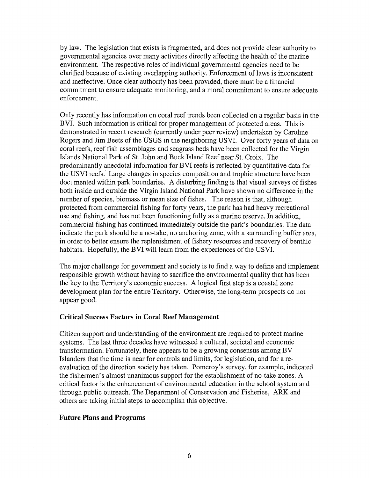by law. The legislation that exists is fragmented, and does not provide clear authority to governmental agencies over many activities directly affecting the health of the marine environment. The respective roles of individual governmental agencies need to be clarified because of existing overlapping authority. Enforcement of laws is inconsistent and ineffective. Once clear authority has been provided, there must be a financial commitment to ensure adequate monitoring, and a moral commitment to ensure adequate enforcement.

Only recently has information on coral reef trends been collected on a regular basis in the BVI. Such information is critical for proper management of protected areas. This is demonstrated in recent research (currently under peer review) undertaken by Caroline Rogers and Jim Beets of the USGS in the neighboring USVI. Over forty years of data on coral reefs, reef fish assemblages and seagrass beds have been collected for the Virgin Islands National Park of St. John and Buck Island Reef near St. Croix. The predominantly anecdotal information for BVI reefs is reflected by quantitative data for the USVI reefs. Large changes in species composition and trophic structure have been documented within park boundaries. A disturbing finding is that visual surveys of fishes both inside and outside the Virgin Island National Park have shown no difference in the number of species, biomass or mean size of fishes. The reason is that, although protected from commercial fishing for forty years, the park has had heavy recreational use and fishing, and has not been functioning fully as a marine reserve. In addition, commercial fishing has continued immediately outside the park's boundaries. The data indicate the park should be a no-take, no anchoring zone, with a surrounding buffer area, in order to better ensure the replenishment of fishery resources and recovery of benthic habitats. Hopefully, the BVI will learn from the experiences of the USVI.

The major challenge for government and society is to find a way to define and implement responsible growth without having to sacrifice the environmental quality that has been the key to the Territory's economic success. A logical first step is a coastal zone development plan for the entire Territory. Otherwise, the long-term prospects do not appear good.

### Critical Success Factors in Coral Reef Management

Citizen support and understanding of the environment are required to protect marine systems. The last three decades have witnessed a cultural, societal and economic transformation. Fortunately, there appears to be a growing consensus among BV Islanders that the time is near for controls and limits, for legislation, and for a reevaluation of the direction society has taken. Pomeroy's survey, for example, indicated the fishermen's almost unanimous support for the establishment of no-take zones. A critical factor is the enhancement of environmental education in the school system and through public outreach. The Department of Conservation and Fisheries, ARK and others are taking initial steps to accomplish this objective.

### Future Plans and Programs